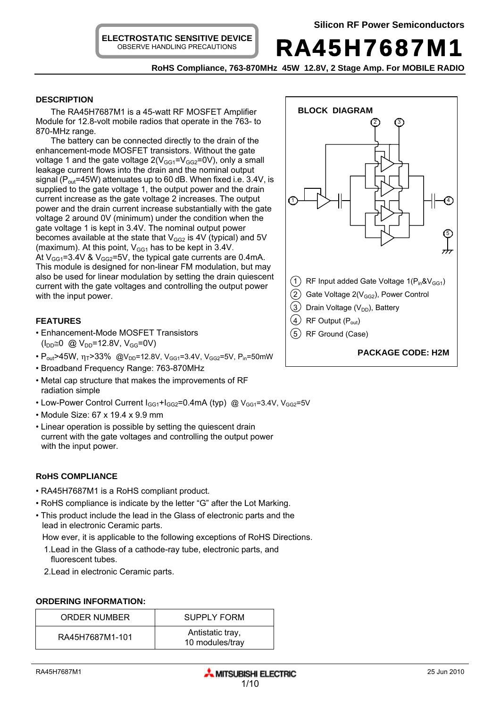RA45H7687M1

**RoHS Compliance, 763-870MHz 45W 12.8V, 2 Stage Amp. For MOBILE RADIO** 

# **DESCRIPTION**

The RA45H7687M1 is a 45-watt RF MOSFET Amplifier Module for 12.8-volt mobile radios that operate in the 763- to 870-MHz range.

The battery can be connected directly to the drain of the enhancement-mode MOSFET transistors. Without the gate voltage 1 and the gate voltage  $2(V_{GG1}=V_{GG2}=0V)$ , only a small leakage current flows into the drain and the nominal output signal ( $P_{out}$ =45W) attenuates up to 60 dB. When fixed i.e. 3.4V, is supplied to the gate voltage 1, the output power and the drain current increase as the gate voltage 2 increases. The output power and the drain current increase substantially with the gate voltage 2 around 0V (minimum) under the condition when the gate voltage 1 is kept in 3.4V. The nominal output power becomes available at the state that  $V_{GG2}$  is 4V (typical) and 5V (maximum). At this point,  $V_{GG1}$  has to be kept in 3.4V. At  $V_{GG1}$ =3.4V &  $V_{GG2}$ =5V, the typical gate currents are 0.4mA. This module is designed for non-linear FM modulation, but may also be used for linear modulation by setting the drain quiescent current with the gate voltages and controlling the output power with the input power.

# **FEATURES**

- Enhancement-Mode MOSFET Transistors  $(I_{DD} \cong 0 \text{ @ } V_{DD} = 12.8V, V_{GG} = 0V)$
- $P_{out}$ >45W,  $\eta_T$ >33% @V<sub>DD</sub>=12.8V, V<sub>GG1</sub>=3.4V, V<sub>GG2</sub>=5V, P<sub>in</sub>=50mW
- Broadband Frequency Range: 763-870MHz
- Metal cap structure that makes the improvements of RF radiation simple
- Low-Power Control Current  $I_{GG1}+I_{GG2}=0.4 \text{mA (typ)}$  @  $V_{GG1}=3.4 \text{V}$ ,  $V_{GG2}=5 \text{V}$
- Module Size: 67 x 19.4 x 9.9 mm
- Linear operation is possible by setting the quiescent drain current with the gate voltages and controlling the output power with the input power.

# **RoHS COMPLIANCE**

- RA45H7687M1 is a RoHS compliant product.
- RoHS compliance is indicate by the letter "G" after the Lot Marking.
- This product include the lead in the Glass of electronic parts and the lead in electronic Ceramic parts.

How ever, it is applicable to the following exceptions of RoHS Directions.

- 1.Lead in the Glass of a cathode-ray tube, electronic parts, and fluorescent tubes.
- 2.Lead in electronic Ceramic parts.

#### **ORDERING INFORMATION:**

| ORDER NUMBER    | <b>SUPPLY FORM</b>                  |  |
|-----------------|-------------------------------------|--|
| RA45H7687M1-101 | Antistatic tray,<br>10 modules/tray |  |

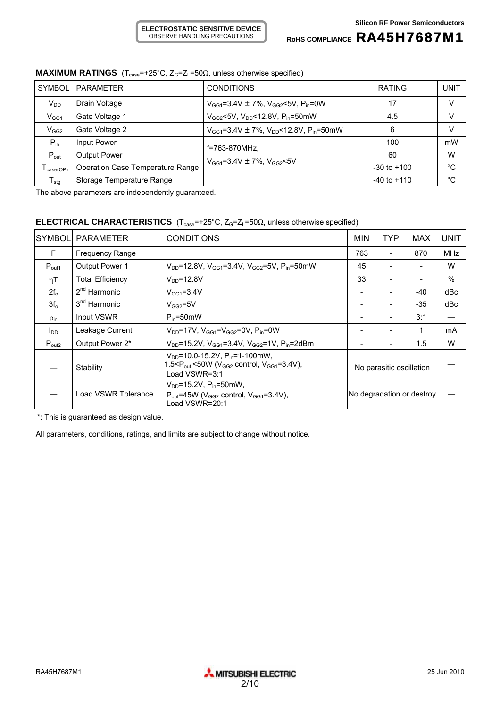# ROHS COMPLIANCE **RA45H7687M1**

| <b>SYMBOL</b>                | <b>PARAMETER</b>                        | <b>CONDITIONS</b>                                              | <b>RATING</b>   | UNIT |
|------------------------------|-----------------------------------------|----------------------------------------------------------------|-----------------|------|
| $V_{DD}$                     | Drain Voltage                           | $V_{GG1}$ =3.4V ± 7%, $V_{GG2}$ <5V, $P_{in}$ =0W              | 17              | V    |
| V <sub>GG1</sub>             | Gate Voltage 1                          | $V_{GG2}$ <5V, $V_{DD}$ <12.8V, $P_{in}$ =50mW                 | 4.5             | v    |
| $V_{GG2}$                    | Gate Voltage 2                          | $V_{GG1} = 3.4V \pm 7\%$ , $V_{DD} < 12.8V$ , $P_{in} = 50$ mW | 6               |      |
| $P_{in}$                     | Input Power                             | f=763-870MHz.                                                  | 100             | mW   |
| $P_{\text{out}}$             | <b>Output Power</b>                     |                                                                | 60              | W    |
| $I_{\text{case}(\text{OP})}$ | <b>Operation Case Temperature Range</b> | $V_{GG1} = 3.4V \pm 7\%$ , $V_{GG2} < 5V$                      | $-30$ to $+100$ | °C   |
| ${\mathsf T}_{\text{stg}}$   | Storage Temperature Range               |                                                                | $-40$ to $+110$ | °C   |

# **MAXIMUM RATINGS** ( $T_{case}$ =+25°C,  $Z_G$ = $Z_L$ =50 $\Omega$ , unless otherwise specified)

The above parameters are independently guaranteed.

# **ELECTRICAL CHARACTERISTICS** (T<sub>case</sub>=+25°C, Z<sub>G</sub>=Z<sub>L</sub>=50Ω, unless otherwise specified)

| <b>SYMBOL</b>      | <b>PARAMETER</b>         | <b>CONDITIONS</b>                                                                                                                                  | <b>MIN</b>                | <b>TYP</b> | <b>MAX</b> | <b>UNIT</b> |
|--------------------|--------------------------|----------------------------------------------------------------------------------------------------------------------------------------------------|---------------------------|------------|------------|-------------|
| F                  | <b>Frequency Range</b>   |                                                                                                                                                    | 763                       |            | 870        | <b>MHz</b>  |
| $P_{\text{out1}}$  | <b>Output Power 1</b>    | V <sub>DD</sub> =12.8V, V <sub>GG1</sub> =3.4V, V <sub>GG2</sub> =5V, P <sub>in</sub> =50mW                                                        | 45                        |            |            | W           |
| ηT                 | <b>Total Efficiency</b>  | $V_{DD} = 12.8V$                                                                                                                                   | 33                        |            |            | $\%$        |
| $2f_{o}$           | $2nd$ Harmonic           | $V_{GG1} = 3.4V$                                                                                                                                   |                           |            | $-40$      | dBc         |
| $3f_{o}$           | 3 <sup>nd</sup> Harmonic | $V_{GG2} = 5V$                                                                                                                                     |                           |            | $-35$      | dBc         |
| $\rho_{\text{in}}$ | Input VSWR               | $P_{in} = 50$ mW                                                                                                                                   |                           |            | 3:1        |             |
| $I_{DD}$           | Leakage Current          | $V_{DD}$ =17V, $V_{GG1}$ =V $_{GG2}$ =0V, $P_{in}$ =0W                                                                                             |                           |            |            | mA          |
| $P_{\text{out2}}$  | Output Power 2*          | $V_{DD}$ =15.2V, $V_{GG1}$ =3.4V, $V_{GG2}$ =1V, $P_{in}$ =2dBm                                                                                    |                           |            | 1.5        | W           |
|                    | Stability                | $V_{DD}$ =10.0-15.2V, P <sub>in</sub> =1-100mW,<br>1.5< $P_{\text{out}}$ <50W (V <sub>GG2</sub> control, V <sub>GG1</sub> =3.4V),<br>Load VSWR=3:1 | No parasitic oscillation  |            |            |             |
|                    | Load VSWR Tolerance      | $V_{DD} = 15.2 V$ , $P_{in} = 50$ mW,<br>$P_{\text{out}}$ =45W (V <sub>GG2</sub> control, V <sub>GG1</sub> =3.4V),<br>Load VSWR=20:1               | No degradation or destroy |            |            |             |

\*: This is guaranteed as design value.

All parameters, conditions, ratings, and limits are subject to change without notice.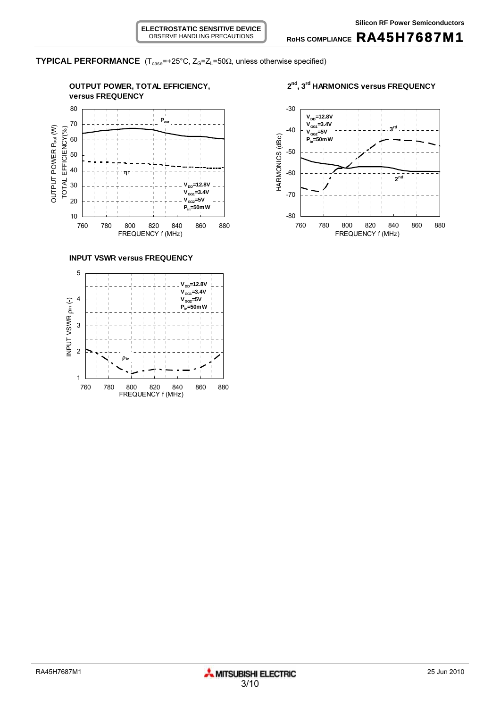

**RoHS COMPLIANCE** RA45H7687M1



**INPUT VSWR versus FREQUENCY**



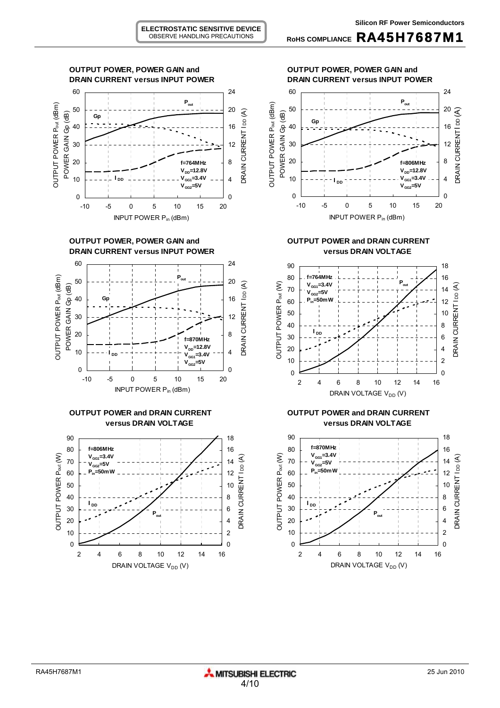0











**OUTPUT POWER and DRAIN CURRENT CURPUT POWER AND DRAIN CURRENT** 



-10 -5 0 5 10 15 20 INPUT POWER Pin (dBm)

0



**versus DRAIN VOLTAGE versus DRAIN VOLTAGE**

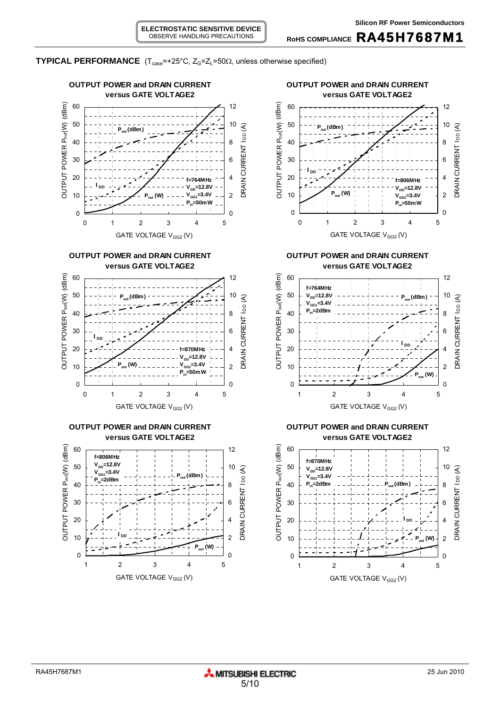

**TYPICAL PERFORMANCE**  $(T_{case} = +25^{\circ}C, Z_G = Z_L = 50\Omega,$  unless otherwise specified)

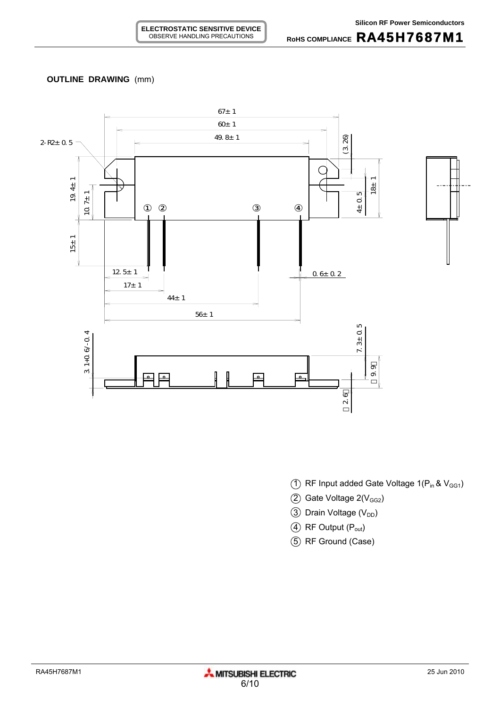# **OUTLINE DRAWING** (mm)



- (1) RF Input added Gate Voltage  $1(P_{in} & V_{GG1})$
- $(2)$  Gate Voltage 2( $V<sub>GG2</sub>$ )
- $\circled{3}$  Drain Voltage (V<sub>DD</sub>)
- 4 RF Output (P<sub>out</sub>)
- 5 RF Ground (Case)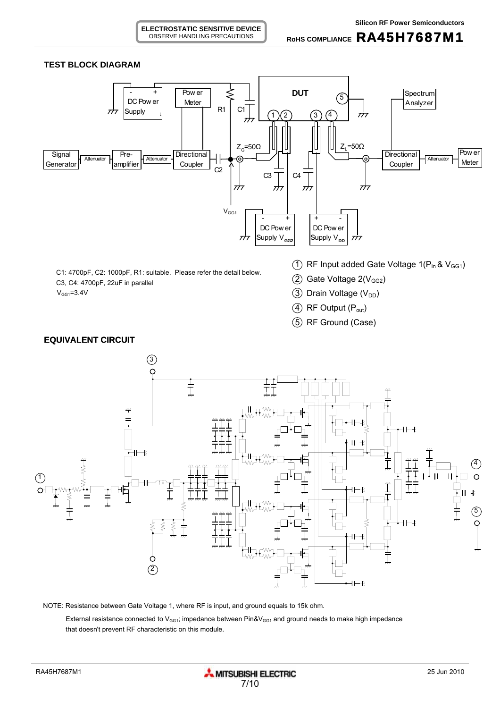#### **ELECTROSTATIC SENSITIVE DEVICE** OBSERVE HANDLING PRECAUTIONS

#### **TEST BLOCK DIAGRAM**





NOTE: Resistance between Gate Voltage 1, where RF is input, and ground equals to 15k ohm.

External resistance connected to  $V_{GG1}$ ; impedance between Pin& $V_{GG1}$  and ground needs to make high impedance that doesn't prevent RF characteristic on this module.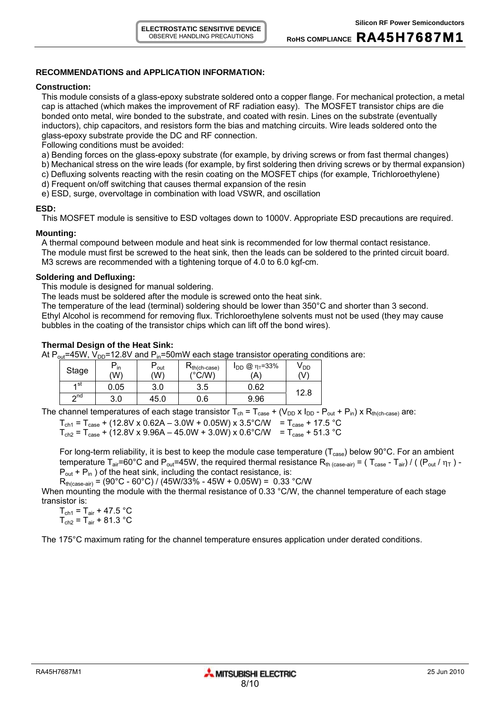# **RECOMMENDATIONS and APPLICATION INFORMATION:**

#### **Construction:**

This module consists of a glass-epoxy substrate soldered onto a copper flange. For mechanical protection, a metal cap is attached (which makes the improvement of RF radiation easy). The MOSFET transistor chips are die bonded onto metal, wire bonded to the substrate, and coated with resin. Lines on the substrate (eventually inductors), chip capacitors, and resistors form the bias and matching circuits. Wire leads soldered onto the glass-epoxy substrate provide the DC and RF connection.

Following conditions must be avoided:

- a) Bending forces on the glass-epoxy substrate (for example, by driving screws or from fast thermal changes)
- b) Mechanical stress on the wire leads (for example, by first soldering then driving screws or by thermal expansion)
- c) Defluxing solvents reacting with the resin coating on the MOSFET chips (for example, Trichloroethylene)
- d) Frequent on/off switching that causes thermal expansion of the resin

e) ESD, surge, overvoltage in combination with load VSWR, and oscillation

# **ESD:**

This MOSFET module is sensitive to ESD voltages down to 1000V. Appropriate ESD precautions are required.

### **Mounting:**

A thermal compound between module and heat sink is recommended for low thermal contact resistance. The module must first be screwed to the heat sink, then the leads can be soldered to the printed circuit board. M3 screws are recommended with a tightening torque of 4.0 to 6.0 kgf-cm.

### **Soldering and Defluxing:**

This module is designed for manual soldering.

The leads must be soldered after the module is screwed onto the heat sink.

The temperature of the lead (terminal) soldering should be lower than 350°C and shorter than 3 second. Ethyl Alcohol is recommend for removing flux. Trichloroethylene solvents must not be used (they may cause bubbles in the coating of the transistor chips which can lift off the bond wires).

# **Thermal Design of the Heat Sink:**

At  $P_{out}$ =45W,  $V_{DD}$ =12.8V and  $P_{in}$ =50mW each stage transistor operating conditions are:

| Stage     | $P_{\text{in}}$<br>'W) | out<br>(W) | $R_{th(ch-case)}$<br>$(^{\circ}$ C/W) | $I_{DD}$ @ η <sub>τ</sub> =33%<br>'A` | V DD<br>(V) |  |
|-----------|------------------------|------------|---------------------------------------|---------------------------------------|-------------|--|
| ⊿ st      | 0.05                   | 3.0        | 3.5                                   | 0.62                                  | 12.8        |  |
| $\sim$ nd | 3.0                    | 45.0       | 0.6                                   | 9.96                                  |             |  |

The channel temperatures of each stage transistor  $T_{ch} = T_{case} + (V_{DD} \times I_{DD} - P_{out} + P_{in}) \times R_{th(ch-case)}$  are:

 $T_{\text{ch1}} = T_{\text{case}} + (12.8 \text{V} \times 0.62 \text{A} - 3.0 \text{W} + 0.05 \text{W}) \times 3.5^{\circ} \text{C/W} = T_{\text{case}} + 17.5 \text{°C}$ 

 $T_{\text{ch2}} = T_{\text{case}} + (12.8 \text{V} \times 9.96 \text{A} - 45.0 \text{W} + 3.0 \text{W}) \times 0.6^{\circ} \text{C/W} = T_{\text{case}} + 51.3 \text{°C}$ 

For long-term reliability, it is best to keep the module case temperature ( $T_{\text{case}}$ ) below 90°C. For an ambient temperature T<sub>air</sub>=60°C and P<sub>out</sub>=45W, the required thermal resistance R<sub>th (case-air)</sub> = (T<sub>case</sub> - T<sub>air</sub>) / ((P<sub>out</sub> /  $\eta_T$ ) - $P_{out}$  +  $P_{in}$ ) of the heat sink, including the contact resistance, is:

 $R_{th (case-air)} = (90^{\circ}C - 60^{\circ}C) / (45W/33\% - 45W + 0.05W) = 0.33 \text{ °C/W}$ 

When mounting the module with the thermal resistance of 0.33 °C/W, the channel temperature of each stage transistor is:

 $T_{\text{ch1}} = T_{\text{air}} + 47.5 \text{ °C}$  $T_{\text{ch2}} = T_{\text{air}} + 81.3 \text{ °C}$ 

The 175°C maximum rating for the channel temperature ensures application under derated conditions.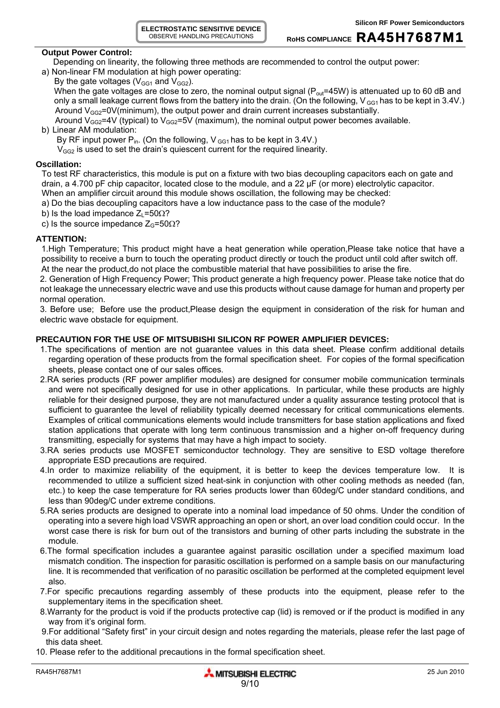**ELECTROSTATIC SENSITIVE DEVICE** OBSERVE HANDLING PRECAUTIONS

# **RoHS COMPLIANCE** RA45H7687M1

### **Output Power Control:**

Depending on linearity, the following three methods are recommended to control the output power:

a) Non-linear FM modulation at high power operating: By the gate voltages ( $V_{GG1}$  and  $V_{GG2}$ ).

When the gate voltages are close to zero, the nominal output signal ( $P_{out}=45W$ ) is attenuated up to 60 dB and only a small leakage current flows from the battery into the drain. (On the following,  $V_{GG1}$  has to be kept in 3.4V.) Around  $V_{GG2}=0V(minimum)$ , the output power and drain current increases substantially.

Around  $V_{GG2}=4V$  (typical) to  $V_{GG2}=5V$  (maximum), the nominal output power becomes available.

# b) Linear AM modulation:

By RF input power  $P_{in}$ . (On the following, V  $_{GG1}$  has to be kept in 3.4V.)

 $V_{GG2}$  is used to set the drain's quiescent current for the required linearity.

# **Oscillation:**

To test RF characteristics, this module is put on a fixture with two bias decoupling capacitors each on gate and drain, a 4.700 pF chip capacitor, located close to the module, and a 22 µF (or more) electrolytic capacitor. When an amplifier circuit around this module shows oscillation, the following may be checked:

a) Do the bias decoupling capacitors have a low inductance pass to the case of the module?

b) Is the load impedance  $Z_L$ =50 $\Omega$ ?

c) Is the source impedance  $Z_{G}$ =50 $\Omega$ ?

# **ATTENTION:**

1.High Temperature; This product might have a heat generation while operation,Please take notice that have a possibility to receive a burn to touch the operating product directly or touch the product until cold after switch off. At the near the product,do not place the combustible material that have possibilities to arise the fire.

2. Generation of High Frequency Power; This product generate a high frequency power. Please take notice that do not leakage the unnecessary electric wave and use this products without cause damage for human and property per normal operation.

3. Before use; Before use the product,Please design the equipment in consideration of the risk for human and electric wave obstacle for equipment.

# **PRECAUTION FOR THE USE OF MITSUBISHI SILICON RF POWER AMPLIFIER DEVICES:**

- 1.The specifications of mention are not guarantee values in this data sheet. Please confirm additional details regarding operation of these products from the formal specification sheet. For copies of the formal specification sheets, please contact one of our sales offices.
- 2.RA series products (RF power amplifier modules) are designed for consumer mobile communication terminals and were not specifically designed for use in other applications. In particular, while these products are highly reliable for their designed purpose, they are not manufactured under a quality assurance testing protocol that is sufficient to guarantee the level of reliability typically deemed necessary for critical communications elements. Examples of critical communications elements would include transmitters for base station applications and fixed station applications that operate with long term continuous transmission and a higher on-off frequency during transmitting, especially for systems that may have a high impact to society.
- 3.RA series products use MOSFET semiconductor technology. They are sensitive to ESD voltage therefore appropriate ESD precautions are required.
- 4.In order to maximize reliability of the equipment, it is better to keep the devices temperature low. It is recommended to utilize a sufficient sized heat-sink in conjunction with other cooling methods as needed (fan, etc.) to keep the case temperature for RA series products lower than 60deg/C under standard conditions, and less than 90deg/C under extreme conditions.
- 5.RA series products are designed to operate into a nominal load impedance of 50 ohms. Under the condition of operating into a severe high load VSWR approaching an open or short, an over load condition could occur. In the worst case there is risk for burn out of the transistors and burning of other parts including the substrate in the module.
- 6.The formal specification includes a guarantee against parasitic oscillation under a specified maximum load mismatch condition. The inspection for parasitic oscillation is performed on a sample basis on our manufacturing line. It is recommended that verification of no parasitic oscillation be performed at the completed equipment level also.
- 7.For specific precautions regarding assembly of these products into the equipment, please refer to the supplementary items in the specification sheet.
- 8.Warranty for the product is void if the products protective cap (lid) is removed or if the product is modified in any way from it's original form.
- 9.For additional "Safety first" in your circuit design and notes regarding the materials, please refer the last page of this data sheet.
- 10. Please refer to the additional precautions in the formal specification sheet.